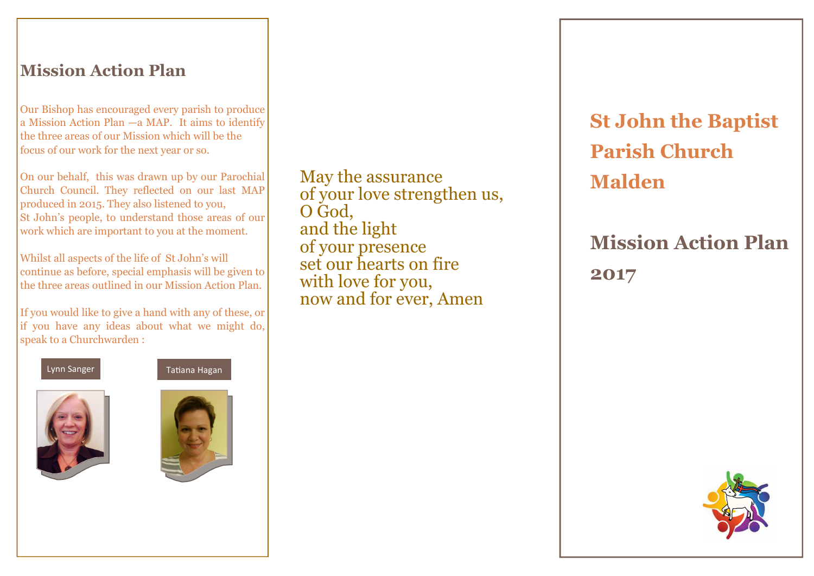## Mission Action Plan

Our Bishop has encouraged every parish to produce a Mission Action Plan —a MAP. It aims to identify the three areas of our Mission which will be the focus of our work for the next year or so.

On our behalf, this was drawn up by our Parochial Church Council. They reflected on our last MAP produced in 2015. They also listened to you, St John's people, to understand those areas of our work which are important to you at the moment.

Whilst all aspects of the life of St John's will continue as before, special emphasis will be given to the three areas outlined in our Mission Action Plan.

If you would like to give a hand with any of these, or if you have any ideas about what we might do, speak to a Churchwarden :







May the assurance of your love strengthen us, O God, and the light of your presence set our hearts on fire with love for you, now and for ever, Amen

St John the Baptist Parish Church Malden

# Mission Action Plan 2017